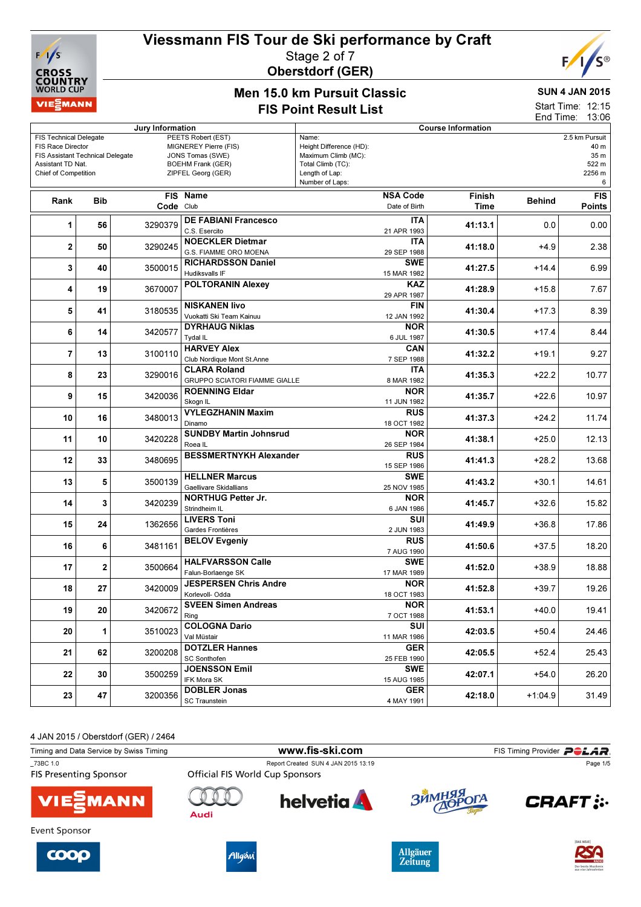



#### Stage 2 of 7 Oberstdorf (GER)



#### Men 15.0 km Pursuit Classic FIS Point Result List

#### SUN 4 JAN 2015

Start Time: 12:15 End Time: 13:06

| Jury Information                                             |            |           |                                           | <b>Course Information</b>                      |         |               |                |  |
|--------------------------------------------------------------|------------|-----------|-------------------------------------------|------------------------------------------------|---------|---------------|----------------|--|
| <b>FIS Technical Delegate</b>                                |            |           | PEETS Robert (EST)                        | Name:                                          |         |               | 2.5 km Pursuit |  |
| FIS Race Director<br><b>FIS Assistant Technical Delegate</b> |            |           | MIGNEREY Pierre (FIS)<br>JONS Tomas (SWE) | Height Difference (HD):<br>Maximum Climb (MC): |         |               | 40 m<br>35 m   |  |
| Assistant TD Nat.                                            |            |           | <b>BOEHM Frank (GER)</b>                  | Total Climb (TC):                              |         |               | 522 m          |  |
| <b>Chief of Competition</b>                                  |            |           | ZIPFEL Georg (GER)                        | Length of Lap:                                 |         |               | 2256 m         |  |
|                                                              |            |           |                                           | Number of Laps:                                |         |               | 6              |  |
|                                                              |            |           | FIS Name                                  | <b>NSA Code</b>                                | Finish  |               | <b>FIS</b>     |  |
| Rank                                                         | <b>Bib</b> | Code Club |                                           | Date of Birth                                  | Time    | <b>Behind</b> | <b>Points</b>  |  |
|                                                              |            |           |                                           |                                                |         |               |                |  |
| 1                                                            | 56         | 3290379   | <b>DE FABIANI Francesco</b>               | <b>ITA</b>                                     | 41:13.1 | 0.0           | 0.00           |  |
|                                                              |            |           | C.S. Esercito                             | 21 APR 1993                                    |         |               |                |  |
| 2                                                            | 50         | 3290245   | <b>NOECKLER Dietmar</b>                   | <b>ITA</b>                                     | 41:18.0 | +4.9          | 2.38           |  |
|                                                              |            |           | G.S. FIAMME ORO MOENA                     | 29 SEP 1988                                    |         |               |                |  |
|                                                              |            |           | <b>RICHARDSSON Daniel</b>                 | <b>SWE</b>                                     |         |               |                |  |
| 3                                                            | 40         | 3500015   | Hudiksvalls IF                            | 15 MAR 1982                                    | 41:27.5 | $+14.4$       | 6.99           |  |
|                                                              |            |           | <b>POLTORANIN Alexey</b>                  | <b>KAZ</b>                                     |         |               |                |  |
| 4                                                            | 19         | 3670007   |                                           | 29 APR 1987                                    | 41:28.9 | $+15.8$       | 7.67           |  |
|                                                              |            |           | <b>NISKANEN livo</b>                      | FIN                                            |         |               |                |  |
| 5                                                            | 41         | 3180535   |                                           |                                                | 41:30.4 | $+17.3$       | 8.39           |  |
|                                                              |            |           | Vuokatti Ski Team Kainuu                  | 12 JAN 1992                                    |         |               |                |  |
| 6                                                            | 14         | 3420577   | <b>DYRHAUG Niklas</b>                     | <b>NOR</b>                                     | 41:30.5 | $+17.4$       | 8.44           |  |
|                                                              |            |           | Tydal IL                                  | 6 JUL 1987                                     |         |               |                |  |
| $\overline{\mathbf{r}}$                                      | 13         | 3100110   | <b>HARVEY Alex</b>                        | CAN                                            | 41:32.2 | $+19.1$       | 9.27           |  |
|                                                              |            |           | Club Nordique Mont St.Anne                | 7 SEP 1988                                     |         |               |                |  |
|                                                              |            |           | <b>CLARA Roland</b>                       | <b>ITA</b>                                     |         |               |                |  |
| 8                                                            | 23         | 3290016   | <b>GRUPPO SCIATORI FIAMME GIALLE</b>      | 8 MAR 1982                                     | 41:35.3 | $+22.2$       | 10.77          |  |
|                                                              |            |           | <b>ROENNING Eldar</b>                     | <b>NOR</b>                                     |         |               |                |  |
| 9                                                            | 15         | 3420036   | Skogn IL                                  | 11 JUN 1982                                    | 41:35.7 | $+22.6$       | 10.97          |  |
|                                                              |            |           | <b>VYLEGZHANIN Maxim</b>                  | <b>RUS</b>                                     |         |               |                |  |
| 10                                                           | 16         | 3480013   | Dinamo                                    |                                                | 41:37.3 | $+24.2$       | 11.74          |  |
|                                                              |            |           |                                           | 18 OCT 1982                                    |         |               |                |  |
| 11                                                           | 10         | 3420228   | <b>SUNDBY Martin Johnsrud</b>             | <b>NOR</b>                                     | 41:38.1 | $+25.0$       | 12.13          |  |
|                                                              |            |           | Roea IL                                   | 26 SEP 1984                                    |         |               |                |  |
| 12                                                           | 33         | 3480695   | <b>BESSMERTNYKH Alexander</b>             | <b>RUS</b>                                     | 41:41.3 | $+28.2$       | 13.68          |  |
|                                                              |            |           |                                           | 15 SEP 1986                                    |         |               |                |  |
|                                                              | 5          | 3500139   | <b>HELLNER Marcus</b>                     | <b>SWE</b>                                     |         |               | 14.61          |  |
| 13                                                           |            |           | <b>Gaellivare Skidallians</b>             | 25 NOV 1985                                    | 41:43.2 | $+30.1$       |                |  |
|                                                              |            |           | <b>NORTHUG Petter Jr.</b>                 | <b>NOR</b>                                     |         |               |                |  |
| 14                                                           | 3          | 3420239   | Strindheim IL                             | 6 JAN 1986                                     | 41:45.7 | $+32.6$       | 15.82          |  |
|                                                              |            |           | <b>LIVERS Toni</b>                        | SUI                                            |         |               |                |  |
| 15                                                           | 24         | 1362656   | Gardes Frontières                         | 2 JUN 1983                                     | 41:49.9 | $+36.8$       | 17.86          |  |
|                                                              |            |           |                                           |                                                |         |               |                |  |
| 16                                                           | 6          | 3481161   | <b>BELOV Evgeniy</b>                      | <b>RUS</b>                                     | 41:50.6 | $+37.5$       | 18.20          |  |
|                                                              |            |           |                                           | 7 AUG 1990                                     |         |               |                |  |
| 17                                                           | 2          | 3500664   | <b>HALFVARSSON Calle</b>                  | <b>SWE</b>                                     | 41:52.0 | $+38.9$       | 18.88          |  |
|                                                              |            |           | Falun-Borlaenge SK                        | 17 MAR 1989                                    |         |               |                |  |
| 18                                                           | 27         | 3420009   | <b>JESPERSEN Chris Andre</b>              | <b>NOR</b>                                     | 41:52.8 | $+39.7$       | 19.26          |  |
|                                                              |            |           | Korlevoll- Odda                           | 18 OCT 1983                                    |         |               |                |  |
|                                                              |            |           | <b>SVEEN Simen Andreas</b>                | <b>NOR</b>                                     |         |               |                |  |
| 19                                                           | 20         | 3420672   | Ring                                      | 7 OCT 1988                                     | 41:53.1 | $+40.0$       | 19.41          |  |
|                                                              |            |           | <b>COLOGNA Dario</b>                      | SUI                                            |         |               |                |  |
| 20                                                           | 1          | 3510023   | Val Müstair                               | 11 MAR 1986                                    | 42:03.5 | $+50.4$       | 24.46          |  |
|                                                              |            |           |                                           |                                                |         |               |                |  |
| 21                                                           | 62         | 3200208   | <b>DOTZLER Hannes</b>                     | <b>GER</b>                                     | 42:05.5 | $+52.4$       | 25.43          |  |
|                                                              |            |           | <b>SC Sonthofen</b>                       | 25 FEB 1990                                    |         |               |                |  |
| 22                                                           | 30         | 3500259   | <b>JOENSSON Emil</b>                      | <b>SWE</b>                                     | 42:07.1 | $+54.0$       | 26.20          |  |
|                                                              |            |           | IFK Mora SK                               | 15 AUG 1985                                    |         |               |                |  |
| 23                                                           | 47         | 3200356   | <b>DOBLER Jonas</b>                       | <b>GER</b>                                     | 42:18.0 | $+1:04.9$     | 31.49          |  |
|                                                              |            |           | SC Traunstein                             | 4 MAY 1991                                     |         |               |                |  |

4 JAN 2015 / Oberstdorf (GER) / 2464

| Timing and Data Service by Swiss Timing   |                                        | www.fis-ski.com                     |            | FIS Timing Provider <b>POLAR</b> |
|-------------------------------------------|----------------------------------------|-------------------------------------|------------|----------------------------------|
| 73BC 1.0<br><b>FIS Presenting Sponsor</b> | <b>Official FIS World Cup Sponsors</b> | Report Created SUN 4 JAN 2015 13:19 |            | Page 1/5                         |
| <b>VIE</b> MANN                           | Audi                                   | helvetia <b>A</b>                   | ЗЙМНЯЯ ОГА | <b>CRAFT: :-</b>                 |
| Event Sponsor                             |                                        |                                     |            | <b>IDAS NEUEL</b>                |







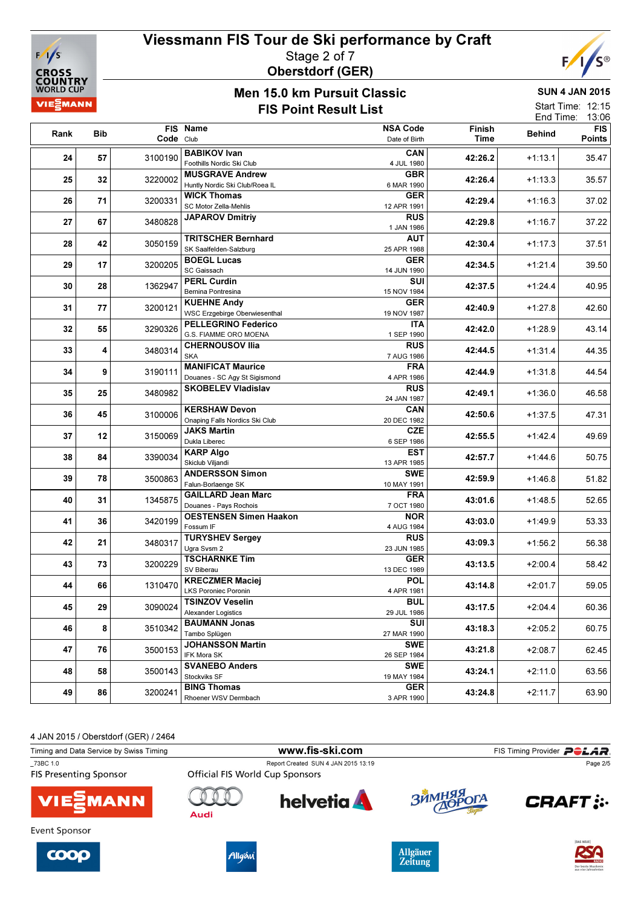

#### Viessmann FIS Tour de Ski performance by Craft Stage 2 of 7 Oberstdorf (GER)



#### Men 15.0 km Pursuit Classic FIS Point Result List

SUN 4 JAN 2015

| Start Time: 12:15 |  |
|-------------------|--|
| End Time: 13:06   |  |
|                   |  |

| Rank | Bib |           | FIS Name                                                  | <b>NSA Code</b>           | Finish  | <b>Behind</b> | <b>FIS</b>    |
|------|-----|-----------|-----------------------------------------------------------|---------------------------|---------|---------------|---------------|
|      |     | Code Club |                                                           | Date of Birth             | Time    |               | <b>Points</b> |
| 24   | 57  | 3100190   | <b>BABIKOV Ivan</b><br>Foothills Nordic Ski Club          | <b>CAN</b><br>4 JUL 1980  | 42:26.2 | $+1:13.1$     | 35.47         |
| 25   | 32  | 3220002   | <b>MUSGRAVE Andrew</b><br>Huntly Nordic Ski Club/Roea IL  | <b>GBR</b><br>6 MAR 1990  | 42:26.4 | $+1:13.3$     | 35.57         |
| 26   | 71  | 3200331   | <b>WICK Thomas</b><br>SC Motor Zella-Mehlis               | <b>GER</b>                | 42:29.4 | $+1:16.3$     | 37.02         |
| 27   | 67  | 3480828   | <b>JAPAROV Dmitriy</b>                                    | 12 APR 1991<br><b>RUS</b> | 42:29.8 | $+1:16.7$     | 37.22         |
| 28   | 42  | 3050159   | <b>TRITSCHER Bernhard</b>                                 | 1 JAN 1986<br><b>AUT</b>  | 42:30.4 | $+1:17.3$     | 37.51         |
|      |     |           | SK Saalfelden-Salzburg<br><b>BOEGL Lucas</b>              | 25 APR 1988<br><b>GER</b> |         |               |               |
| 29   | 17  | 3200205   | SC Gaissach<br><b>PERL Curdin</b>                         | 14 JUN 1990<br>SUI        | 42:34.5 | +1:21.4       | 39.50         |
| 30   | 28  | 1362947   | Bernina Pontresina                                        | 15 NOV 1984<br><b>GER</b> | 42:37.5 | $+1:24.4$     | 40.95         |
| 31   | 77  | 3200121   | <b>KUEHNE Andy</b><br>WSC Erzgebirge Oberwiesenthal       | 19 NOV 1987               | 42:40.9 | $+1:27.8$     | 42.60         |
| 32   | 55  | 3290326   | <b>PELLEGRINO Federico</b><br>G.S. FIAMME ORO MOENA       | <b>ITA</b><br>1 SEP 1990  | 42:42.0 | $+1:28.9$     | 43.14         |
| 33   | 4   | 3480314   | <b>CHERNOUSOV Ilia</b><br><b>SKA</b>                      | <b>RUS</b><br>7 AUG 1986  | 42:44.5 | $+1:31.4$     | 44.35         |
| 34   | 9   | 3190111   | <b>MANIFICAT Maurice</b><br>Douanes - SC Agy St Sigismond | <b>FRA</b><br>4 APR 1986  | 42:44.9 | $+1:31.8$     | 44.54         |
| 35   | 25  | 3480982   | <b>SKOBELEV Vladislav</b>                                 | <b>RUS</b><br>24 JAN 1987 | 42:49.1 | $+1:36.0$     | 46.58         |
| 36   | 45  | 3100006   | <b>KERSHAW Devon</b><br>Onaping Falls Nordics Ski Club    | CAN<br>20 DEC 1982        | 42:50.6 | $+1:37.5$     | 47.31         |
| 37   | 12  | 3150069   | <b>JAKS Martin</b>                                        | <b>CZE</b>                | 42:55.5 | $+1:42.4$     | 49.69         |
| 38   | 84  | 3390034   | Dukla Liberec<br><b>KARP Algo</b>                         | 6 SEP 1986<br>EST         | 42:57.7 | $+1:44.6$     | 50.75         |
| 39   | 78  | 3500863   | Skiclub Viljandi<br><b>ANDERSSON Simon</b>                | 13 APR 1985<br>SWE        | 42:59.9 | $+1:46.8$     | 51.82         |
|      |     |           | Falun-Borlaenge SK<br><b>GAILLARD Jean Marc</b>           | 10 MAY 1991<br><b>FRA</b> |         |               |               |
| 40   | 31  | 1345875   | Douanes - Pays Rochois<br><b>OESTENSEN Simen Haakon</b>   | 7 OCT 1980<br><b>NOR</b>  | 43:01.6 | $+1:48.5$     | 52.65         |
| 41   | 36  | 3420199   | Fossum IF                                                 | 4 AUG 1984<br><b>RUS</b>  | 43:03.0 | $+1:49.9$     | 53.33         |
| 42   | 21  | 3480317   | <b>TURYSHEV Sergey</b><br>Ugra Svsm 2                     | 23 JUN 1985               | 43:09.3 | $+1:56.2$     | 56.38         |
| 43   | 73  | 3200229   | <b>TSCHARNKE Tim</b><br>SV Biberau                        | <b>GER</b><br>13 DEC 1989 | 43:13.5 | $+2:00.4$     | 58.42         |
| 44   | 66  | 1310470   | <b>KRECZMER Maciej</b><br><b>LKS Poroniec Poronin</b>     | <b>POL</b><br>4 APR 1981  | 43:14.8 | $+2:01.7$     | 59.05         |
| 45   | 29  | 3090024   | <b>TSINZOV Veselin</b><br><b>Alexander Logistics</b>      | <b>BUL</b><br>29 JUL 1986 | 43:17.5 | $+2:04.4$     | 60.36         |
| 46   | 8   | 3510342   | <b>BAUMANN Jonas</b><br>Tambo Splügen                     | SUI<br>27 MAR 1990        | 43:18.3 | $+2:05.2$     | 60.75         |
| 47   | 76  | 3500153   | <b>JOHANSSON Martin</b>                                   | <b>SWE</b>                | 43:21.8 | $+2:08.7$     | 62.45         |
| 48   | 58  | 3500143   | IFK Mora SK<br><b>SVANEBO Anders</b>                      | 26 SEP 1984<br><b>SWE</b> | 43:24.1 | $+2:11.0$     | 63.56         |
| 49   | 86  | 3200241   | Stockviks SF<br><b>BING Thomas</b>                        | 19 MAY 1984<br><b>GER</b> | 43:24.8 | $+2:11.7$     | 63.90         |
|      |     |           | Rhoener WSV Dermbach                                      | 3 APR 1990                |         |               |               |

4 JAN 2015 / Oberstdorf (GER) / 2464

| Timing and Data Service by Swiss Timing   |                                        | www.fis-ski.com                     |            | FIS Timing Provider <b>POLAR</b> |
|-------------------------------------------|----------------------------------------|-------------------------------------|------------|----------------------------------|
| 73BC 1.0<br><b>FIS Presenting Sponsor</b> | <b>Official FIS World Cup Sponsors</b> | Report Created SUN 4 JAN 2015 13:19 |            | Page 2/5                         |
| <b>VIE</b> MANN                           | Audi                                   | <b>helvetia</b>                     | ЗЙМНЯЯ ОГА | <b>CRAFT: :-</b>                 |
| Event Sponsor                             |                                        |                                     |            | <b>Inacaguet</b>                 |







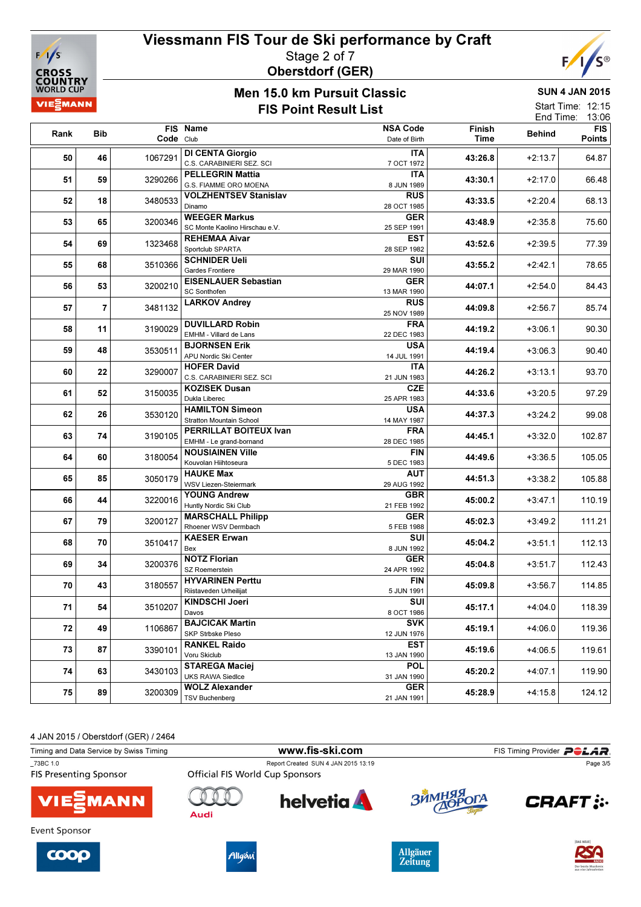

#### Viessmann FIS Tour de Ski performance by Craft Stage 2 of 7 Oberstdorf (GER)



## Men 45.0 km **Pursuit Classic**

SUN 4 JAN 2015

|          |     | Men 15.0 Km Pursult Glassic |                                 |                   |         |               |            |
|----------|-----|-----------------------------|---------------------------------|-------------------|---------|---------------|------------|
| VIEZMANN |     |                             | <b>FIS Point Result List</b>    | Start Time: 12:15 |         |               |            |
|          |     |                             |                                 |                   |         | End Time:     | 13:06      |
| Rank     | Bib | <b>FIS</b>                  | <b>Name</b>                     | <b>NSA Code</b>   | Finish  | <b>Behind</b> | <b>FIS</b> |
|          |     | Code Club                   |                                 | Date of Birth     | Time    |               | Points     |
|          |     |                             | <b>DI CENTA Giorgio</b>         | <b>ITA</b>        |         |               |            |
| 50       | 46  | 1067291                     | C.S. CARABINIERI SEZ. SCI       | 7 OCT 1972        | 43:26.8 | $+2:13.7$     | 64.87      |
|          |     |                             | <b>PELLEGRIN Mattia</b>         | <b>ITA</b>        |         |               |            |
| 51       | 59  | 3290266                     | G.S. FIAMME ORO MOENA           | 8 JUN 1989        | 43:30.1 | $+2:17.0$     | 66.48      |
|          |     |                             | <b>VOLZHENTSEV Stanislav</b>    | <b>RUS</b>        |         |               |            |
| 52       | 18  | 3480533                     | Dinamo                          | 28 OCT 1985       | 43:33.5 | $+2:20.4$     | 68.13      |
|          |     |                             | <b>WEEGER Markus</b>            | <b>GER</b>        |         |               |            |
| 53       | 65  | 3200346                     | SC Monte Kaolino Hirschau e.V.  | 25 SEP 1991       | 43:48.9 | $+2:35.8$     | 75.60      |
|          |     |                             | <b>REHEMAA Aivar</b>            | <b>EST</b>        |         |               |            |
| 54       | 69  | 1323468                     | Sportclub SPARTA                | 28 SEP 1982       | 43:52.6 | $+2:39.5$     | 77.39      |
|          |     |                             | <b>SCHNIDER Ueli</b>            | SUI               |         |               |            |
| 55       | 68  | 3510366                     | Gardes Frontiere                | 29 MAR 1990       | 43:55.2 | $+2:42.1$     | 78.65      |
|          |     |                             | <b>EISENLAUER Sebastian</b>     | <b>GER</b>        |         |               |            |
| 56       | 53  | 3200210                     | <b>SC Sonthofen</b>             | 13 MAR 1990       | 44:07.1 | $+2:54.0$     | 84.43      |
|          |     |                             | <b>LARKOV Andrey</b>            | <b>RUS</b>        |         |               |            |
| 57       | 7   | 3481132                     |                                 | 25 NOV 1989       | 44:09.8 | $+2:56.7$     | 85.74      |
|          |     |                             | <b>DUVILLARD Robin</b>          | <b>FRA</b>        |         |               |            |
| 58       | 11  | 3190029                     | EMHM - Villard de Lans          | 22 DEC 1983       | 44:19.2 | $+3:06.1$     | 90.30      |
|          |     |                             | <b>BJORNSEN Erik</b>            | <b>USA</b>        |         |               |            |
| 59       | 48  | 3530511                     | APU Nordic Ski Center           | 14 JUL 1991       | 44:19.4 | $+3:06.3$     | 90.40      |
|          |     |                             | <b>HOFER David</b>              | <b>ITA</b>        |         |               |            |
| 60       | 22  | 3290007                     | C.S. CARABINIERI SEZ. SCI       | 21 JUN 1983       | 44:26.2 | $+3:13.1$     | 93.70      |
|          |     |                             | <b>KOZISEK Dusan</b>            | <b>CZE</b>        |         |               |            |
| 61       | 52  | 3150035                     | Dukla Liberec                   | 25 APR 1983       | 44:33.6 | $+3:20.5$     | 97.29      |
|          |     |                             | <b>HAMILTON Simeon</b>          | <b>USA</b>        |         |               |            |
| 62       | 26  | 3530120                     | <b>Stratton Mountain School</b> | 14 MAY 1987       | 44:37.3 | $+3:24.2$     | 99.08      |
|          |     |                             | PERRILLAT BOITEUX Ivan          | <b>FRA</b>        |         |               |            |
| 63       | 74  | 3190105                     | EMHM - Le grand-bornand         | 28 DEC 1985       | 44:45.1 | $+3:32.0$     | 102.87     |
|          |     |                             | <b>NOUSIAINEN Ville</b>         | FIN               |         |               |            |
| 64       | 60  | 3180054                     | Kouvolan Hiihtoseura            | 5 DEC 1983        | 44:49.6 | $+3:36.5$     | 105.05     |
|          |     |                             | <b>HAUKE Max</b>                | AUT               |         |               |            |
| 65       | 85  | 3050179                     | <b>WSV Liezen-Steiermark</b>    | 29 AUG 1992       | 44:51.3 | $+3:38.2$     | 105.88     |
|          |     |                             | <b>YOUNG Andrew</b>             | <b>GBR</b>        |         |               |            |
| 66       | 44  | 3220016                     | Huntly Nordic Ski Club          | 21 FEB 1992       | 45:00.2 | $+3:47.1$     | 110.19     |
|          |     |                             | <b>MARSCHALL Philipp</b>        | <b>GER</b>        |         |               |            |
| 67       | 79  | 3200127                     | Rhoener WSV Dermbach            | 5 FEB 1988        | 45:02.3 | $+3:49.2$     | 111.21     |
|          |     |                             | <b>KAESER Erwan</b>             | SUI               |         |               |            |
| 68       | 70  | 3510417                     | Bex                             | 8 JUN 1992        | 45:04.2 | $+3:51.1$     | 112.13     |
|          |     |                             | <b>NOTZ Florian</b>             | <b>GER</b>        |         |               |            |
| 69       | 34  | 3200376                     | SZ Roemerstein                  | 24 APR 1992       | 45:04.8 | $+3:51.7$     | 112.43     |
|          |     |                             | <b>HYVARINEN Perttu</b>         | <b>FIN</b>        |         |               |            |
| 70       | 43  | 3180557                     | Riistaveden Urheilijat          | 5 JUN 1991        | 45:09.8 | $+3:56.7$     | 114.85     |
|          |     |                             | <b>KINDSCHI Joeri</b>           | SUI               |         |               |            |
| 71       | 54  | 3510207                     | Davos                           | 8 OCT 1986        | 45:17.1 | $+4:04.0$     | 118.39     |
|          |     |                             | <b>BAJCICAK Martin</b>          | <b>SVK</b>        |         |               |            |
| 72       | 49  | 1106867                     | SKP Strbske Pleso               | 12 JUN 1976       | 45:19.1 | $+4:06.0$     | 119.36     |
|          |     |                             | <b>RANKEL Raido</b>             | EST               |         |               |            |
| 73       | 87  | 3390101                     | Voru Skiclub                    | 13 JAN 1990       | 45:19.6 | $+4:06.5$     | 119.61     |
|          |     |                             | <b>STAREGA Maciej</b>           | <b>POL</b>        |         |               |            |
| 74       | 63  | 3430103                     | <b>UKS RAWA Siedlce</b>         | 31 JAN 1990       | 45:20.2 | $+4:07.1$     | 119.90     |
|          |     |                             |                                 |                   |         |               |            |



75 89 3200309 WOLZ Alexander

| Timing and Data Service by Swiss Timing |                                        | www.fis-ski.com                     |            | FIS Timing Provider <b>POLAR</b> |  |
|-----------------------------------------|----------------------------------------|-------------------------------------|------------|----------------------------------|--|
| 73BC 1.0                                |                                        | Report Created SUN 4 JAN 2015 13:19 | Page 3/5   |                                  |  |
| <b>FIS Presenting Sponsor</b>           | <b>Official FIS World Cup Sponsors</b> |                                     |            |                                  |  |
| <b>VIESMANN</b>                         | Audi                                   | <b>helvetia</b>                     | ЗЙМНЯЯ ОГА | <b>CRAFT</b> :                   |  |
| Event Sponsor                           |                                        |                                     |            |                                  |  |
|                                         |                                        |                                     |            | In a class of L                  |  |





TSV Buchenberg



**GER** 21 JAN 1991

 $3200309 \mid \text{reval} \text{ number}$ 

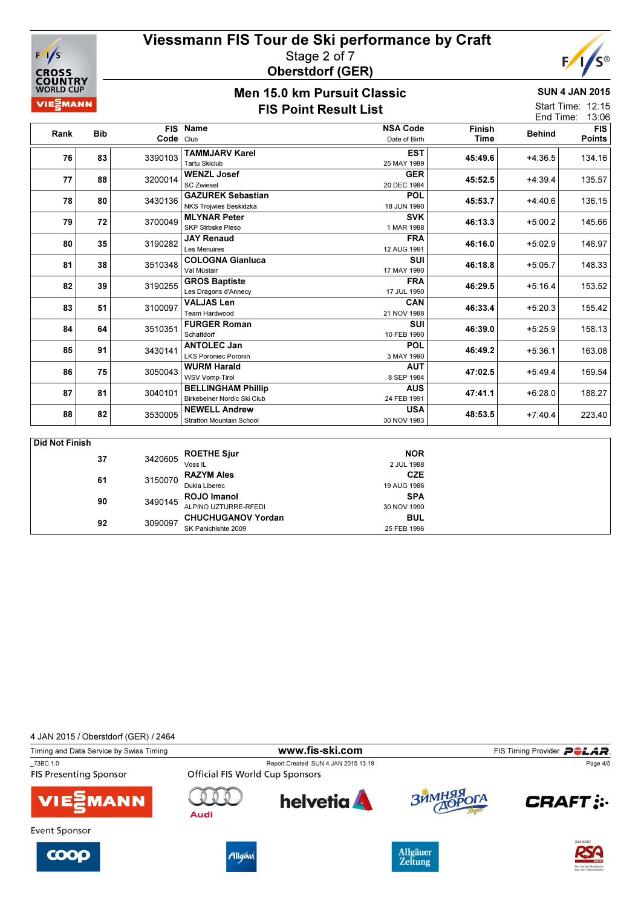

#### Viessmann FIS Tour de Ski performance by Craft Stage 2 of 7 Oberstdorf (GER)



### Men 15.0 km Pursuit Classic

SUN 4 JAN 2015

|                              |            |           |                                                          | טוכטות שוטכות וווח טופו ווטוו    |                       |               |                                         |
|------------------------------|------------|-----------|----------------------------------------------------------|----------------------------------|-----------------------|---------------|-----------------------------------------|
| <b>VIE</b> <sup>2</sup> MANN |            |           | <b>FIS Point Result List</b>                             |                                  |                       |               | Start Time: 12:15<br>13:06<br>End Time: |
| Rank                         | <b>Bib</b> | Code Club | FIS Name                                                 | <b>NSA Code</b><br>Date of Birth | <b>Finish</b><br>Time | <b>Behind</b> | FIS <sup>I</sup><br><b>Points</b>       |
| 76                           | 83         | 3390103   | <b>TAMMJARV Karel</b><br><b>Tartu Skiclub</b>            | <b>EST</b><br>25 MAY 1989        | 45:49.6               | $+4:36.5$     | 134.16                                  |
| 77                           | 88         | 3200014   | <b>WENZL Josef</b><br><b>SC Zwiesel</b>                  | <b>GER</b><br>20 DEC 1984        | 45:52.5               | $+4:39.4$     | 135.57                                  |
| 78                           | 80         | 3430136   | <b>GAZUREK Sebastian</b><br>NKS Trojwies Beskidzka       | <b>POL</b><br>18 JUN 1990        | 45:53.7               | $+4:40.6$     | 136.15                                  |
| 79                           | 72         | 3700049   | <b>MLYNAR Peter</b><br><b>SKP Strbske Pleso</b>          | <b>SVK</b><br>1 MAR 1988         | 46:13.3               | $+5:00.2$     | 145.66                                  |
| 80                           | 35         | 3190282   | <b>JAY Renaud</b><br><b>Les Menuires</b>                 | <b>FRA</b><br>12 AUG 1991        | 46:16.0               | $+5:02.9$     | 146.97                                  |
| 81                           | 38         | 3510348   | <b>COLOGNA Gianluca</b><br>Val Müstair                   | <b>SUI</b><br>17 MAY 1990        | 46:18.8               | $+5:05.7$     | 148.33                                  |
| 82                           | 39         | 3190255   | <b>GROS Baptiste</b><br>Les Dragons d'Annecy             | <b>FRA</b><br>17 JUL 1990        | 46:29.5               | $+5:16.4$     | 153.52                                  |
| 83                           | 51         | 3100097   | <b>VALJAS Len</b><br>Team Hardwood                       | <b>CAN</b><br>21 NOV 1988        | 46:33.4               | $+5:20.3$     | 155.42                                  |
| 84                           | 64         | 3510351   | <b>FURGER Roman</b><br>Schattdorf                        | <b>SUI</b><br>10 FEB 1990        | 46:39.0               | $+5:25.9$     | 158.13                                  |
| 85                           | 91         | 3430141   | <b>ANTOLEC Jan</b><br><b>LKS Poroniec Poronin</b>        | <b>POL</b><br>3 MAY 1990         | 46:49.2               | $+5:36.1$     | 163.08                                  |
| 86                           | 75         | 3050043   | <b>WURM Harald</b><br><b>WSV Vomp-Tirol</b>              | <b>AUT</b><br>8 SEP 1984         | 47:02.5               | $+5:49.4$     | 169.54                                  |
| 87                           | 81         | 3040101   | <b>BELLINGHAM Phillip</b><br>Birkebeiner Nordic Ski Club | <b>AUS</b><br>24 FEB 1991        | 47:41.1               | $+6:28.0$     | 188.27                                  |
| 88                           | 82         | 3530005   | <b>NEWELL Andrew</b><br><b>Stratton Mountain School</b>  | <b>USA</b><br>30 NOV 1983        | 48:53.5               | $+7:40.4$     | 223.40                                  |

| Did Not Finish |    |         |                           |             |  |
|----------------|----|---------|---------------------------|-------------|--|
|                | 37 | 3420605 | <b>ROETHE Sjur</b>        | <b>NOR</b>  |  |
|                |    |         | Voss IL                   | 2 JUL 1988  |  |
|                | 61 | 3150070 | <b>RAZYM Ales</b>         | <b>CZE</b>  |  |
|                |    |         | Dukla Liberec             | 19 AUG 1986 |  |
|                | 90 | 3490145 | ROJO Imanol               | <b>SPA</b>  |  |
|                |    |         | ALPINO UZTURRE-RFEDI      | 30 NOV 1990 |  |
|                | 92 | 3090097 | <b>CHUCHUGANOV Yordan</b> | <b>BUL</b>  |  |
|                |    |         | SK Panichishte 2009       | 25 FEB 1996 |  |